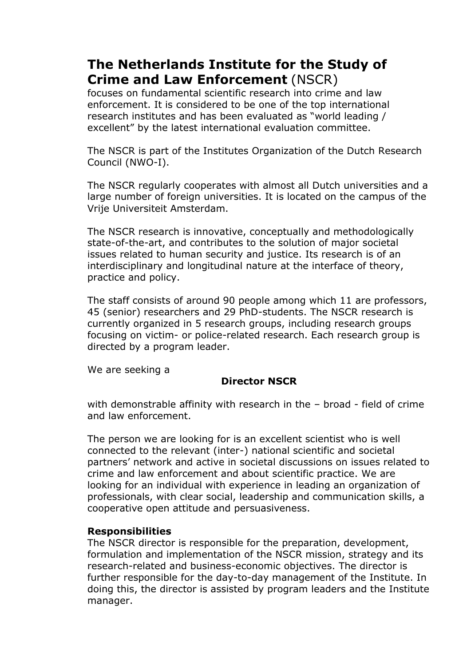# **The Netherlands Institute for the Study of Crime and Law Enforcement** (NSCR)

focuses on fundamental scientific research into crime and law enforcement. It is considered to be one of the top international research institutes and has been evaluated as "world leading / excellent" by the latest international evaluation committee.

The NSCR is part of the Institutes Organization of the Dutch Research Council (NWO-I).

The NSCR regularly cooperates with almost all Dutch universities and a large number of foreign universities. It is located on the campus of the Vrije Universiteit Amsterdam.

The NSCR research is innovative, conceptually and methodologically state-of-the-art, and contributes to the solution of major societal issues related to human security and justice. Its research is of an interdisciplinary and longitudinal nature at the interface of theory, practice and policy.

The staff consists of around 90 people among which 11 are professors, 45 (senior) researchers and 29 PhD-students. The NSCR research is currently organized in 5 research groups, including research groups focusing on victim- or police-related research. Each research group is directed by a program leader.

We are seeking a

## **Director NSCR**

with demonstrable affinity with research in the - broad - field of crime and law enforcement.

The person we are looking for is an excellent scientist who is well connected to the relevant (inter-) national scientific and societal partners' network and active in societal discussions on issues related to crime and law enforcement and about scientific practice. We are looking for an individual with experience in leading an organization of professionals, with clear social, leadership and communication skills, a cooperative open attitude and persuasiveness.

#### **Responsibilities**

The NSCR director is responsible for the preparation, development, formulation and implementation of the NSCR mission, strategy and its research-related and business-economic objectives. The director is further responsible for the day-to-day management of the Institute. In doing this, the director is assisted by program leaders and the Institute manager.